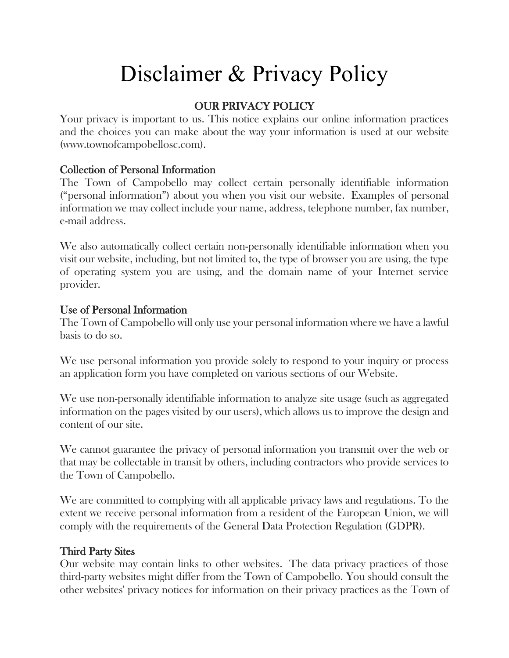# Disclaimer & Privacy Policy

## OUR PRIVACY POLICY

Your privacy is important to us. This notice explains our online information practices and the choices you can make about the way your information is used at our website (www.townofcampobellosc.com).

#### Collection of Personal Information

The Town of Campobello may collect certain personally identifiable information ("personal information") about you when you visit our website. Examples of personal information we may collect include your name, address, telephone number, fax number, e-mail address.

We also automatically collect certain non-personally identifiable information when you visit our website, including, but not limited to, the type of browser you are using, the type of operating system you are using, and the domain name of your Internet service provider.

#### Use of Personal Information

The Town of Campobello will only use your personal information where we have a lawful basis to do so.

We use personal information you provide solely to respond to your inquiry or process an application form you have completed on various sections of our Website.

We use non-personally identifiable information to analyze site usage (such as aggregated information on the pages visited by our users), which allows us to improve the design and content of our site.

We cannot guarantee the privacy of personal information you transmit over the web or that may be collectable in transit by others, including contractors who provide services to the Town of Campobello.

We are committed to complying with all applicable privacy laws and regulations. To the extent we receive personal information from a resident of the European Union, we will comply with the requirements of the General Data Protection Regulation (GDPR).

#### Third Party Sites

Our website may contain links to other websites. The data privacy practices of those third-party websites might differ from the Town of Campobello. You should consult the other websites' privacy notices for information on their privacy practices as the Town of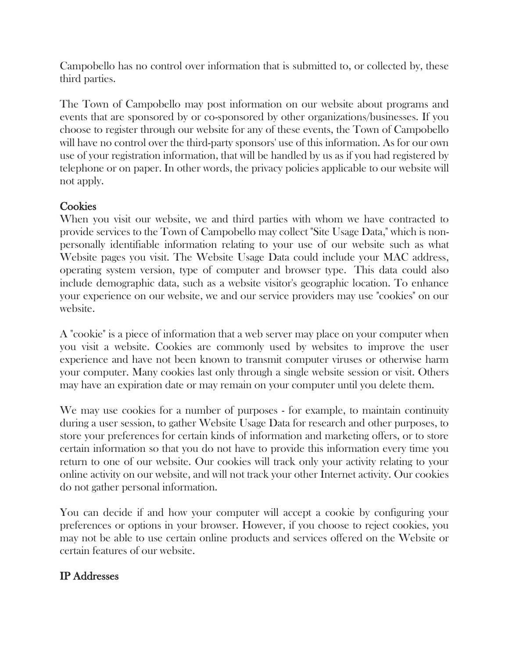Campobello has no control over information that is submitted to, or collected by, these third parties.

The Town of Campobello may post information on our website about programs and events that are sponsored by or co-sponsored by other organizations/businesses. If you choose to register through our website for any of these events, the Town of Campobello will have no control over the third-party sponsors' use of this information. As for our own use of your registration information, that will be handled by us as if you had registered by telephone or on paper. In other words, the privacy policies applicable to our website will not apply.

## **Cookies**

When you visit our website, we and third parties with whom we have contracted to provide services to the Town of Campobello may collect "Site Usage Data," which is nonpersonally identifiable information relating to your use of our website such as what Website pages you visit. The Website Usage Data could include your MAC address, operating system version, type of computer and browser type. This data could also include demographic data, such as a website visitor's geographic location. To enhance your experience on our website, we and our service providers may use "cookies" on our website.

A "cookie" is a piece of information that a web server may place on your computer when you visit a website. Cookies are commonly used by websites to improve the user experience and have not been known to transmit computer viruses or otherwise harm your computer. Many cookies last only through a single website session or visit. Others may have an expiration date or may remain on your computer until you delete them.

We may use cookies for a number of purposes - for example, to maintain continuity during a user session, to gather Website Usage Data for research and other purposes, to store your preferences for certain kinds of information and marketing offers, or to store certain information so that you do not have to provide this information every time you return to one of our website. Our cookies will track only your activity relating to your online activity on our website, and will not track your other Internet activity. Our cookies do not gather personal information.

You can decide if and how your computer will accept a cookie by configuring your preferences or options in your browser. However, if you choose to reject cookies, you may not be able to use certain online products and services offered on the Website or certain features of our website.

## IP Addresses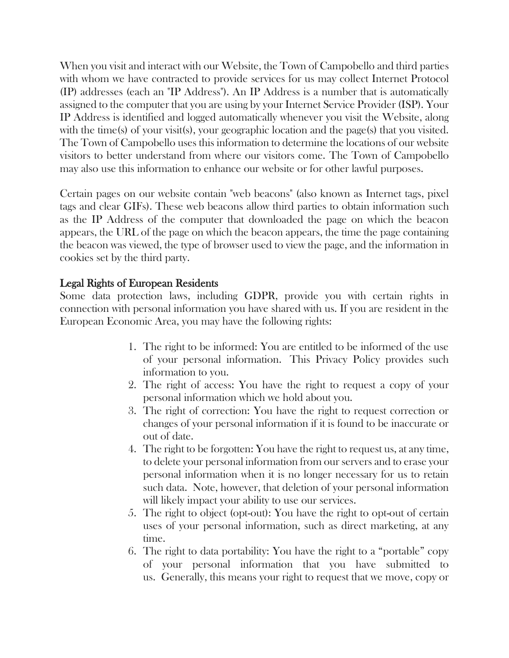When you visit and interact with our Website, the Town of Campobello and third parties with whom we have contracted to provide services for us may collect Internet Protocol (IP) addresses (each an "IP Address"). An IP Address is a number that is automatically assigned to the computer that you are using by your Internet Service Provider (ISP). Your IP Address is identified and logged automatically whenever you visit the Website, along with the time(s) of your visit(s), your geographic location and the page(s) that you visited. The Town of Campobello uses this information to determine the locations of our website visitors to better understand from where our visitors come. The Town of Campobello may also use this information to enhance our website or for other lawful purposes.

Certain pages on our website contain "web beacons" (also known as Internet tags, pixel tags and clear GIFs). These web beacons allow third parties to obtain information such as the IP Address of the computer that downloaded the page on which the beacon appears, the URL of the page on which the beacon appears, the time the page containing the beacon was viewed, the type of browser used to view the page, and the information in cookies set by the third party.

#### Legal Rights of European Residents

Some data protection laws, including GDPR, provide you with certain rights in connection with personal information you have shared with us. If you are resident in the European Economic Area, you may have the following rights:

- 1. The right to be informed: You are entitled to be informed of the use of your personal information. This Privacy Policy provides such information to you.
- 2. The right of access: You have the right to request a copy of your personal information which we hold about you.
- 3. The right of correction: You have the right to request correction or changes of your personal information if it is found to be inaccurate or out of date.
- 4. The right to be forgotten: You have the right to request us, at any time, to delete your personal information from our servers and to erase your personal information when it is no longer necessary for us to retain such data. Note, however, that deletion of your personal information will likely impact your ability to use our services.
- 5. The right to object (opt-out): You have the right to opt-out of certain uses of your personal information, such as direct marketing, at any time.
- 6. The right to data portability: You have the right to a "portable" copy of your personal information that you have submitted to us. Generally, this means your right to request that we move, copy or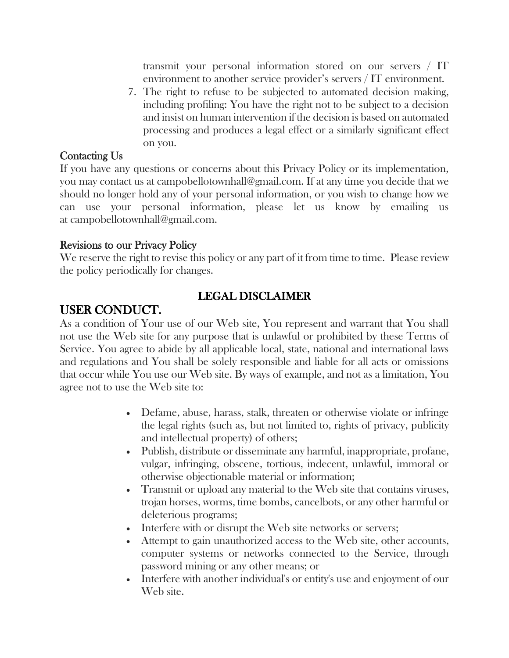transmit your personal information stored on our servers / IT environment to another service provider's servers / IT environment.

7. The right to refuse to be subjected to automated decision making, including profiling: You have the right not to be subject to a decision and insist on human intervention if the decision is based on automated processing and produces a legal effect or a similarly significant effect on you.

#### Contacting Us

If you have any questions or concerns about this Privacy Policy or its implementation, you may contact us at campobellotownhall@gmail.com. If at any time you decide that we should no longer hold any of your personal information, or you wish to change how we can use your personal information, please let us know by emailing us at campobellotownhall@gmail.com.

#### Revisions to our Privacy Policy

We reserve the right to revise this policy or any part of it from time to time. Please review the policy periodically for changes.

## LEGAL DISCLAIMER

# USER CONDUCT.

As a condition of Your use of our Web site, You represent and warrant that You shall not use the Web site for any purpose that is unlawful or prohibited by these Terms of Service. You agree to abide by all applicable local, state, national and international laws and regulations and You shall be solely responsible and liable for all acts or omissions that occur while You use our Web site. By ways of example, and not as a limitation, You agree not to use the Web site to:

- Defame, abuse, harass, stalk, threaten or otherwise violate or infringe the legal rights (such as, but not limited to, rights of privacy, publicity and intellectual property) of others;
- Publish, distribute or disseminate any harmful, inappropriate, profane, vulgar, infringing, obscene, tortious, indecent, unlawful, immoral or otherwise objectionable material or information;
- Transmit or upload any material to the Web site that contains viruses, trojan horses, worms, time bombs, cancelbots, or any other harmful or deleterious programs;
- Interfere with or disrupt the Web site networks or servers;
- Attempt to gain unauthorized access to the Web site, other accounts, computer systems or networks connected to the Service, through password mining or any other means; or
- Interfere with another individual's or entity's use and enjoyment of our Web site.